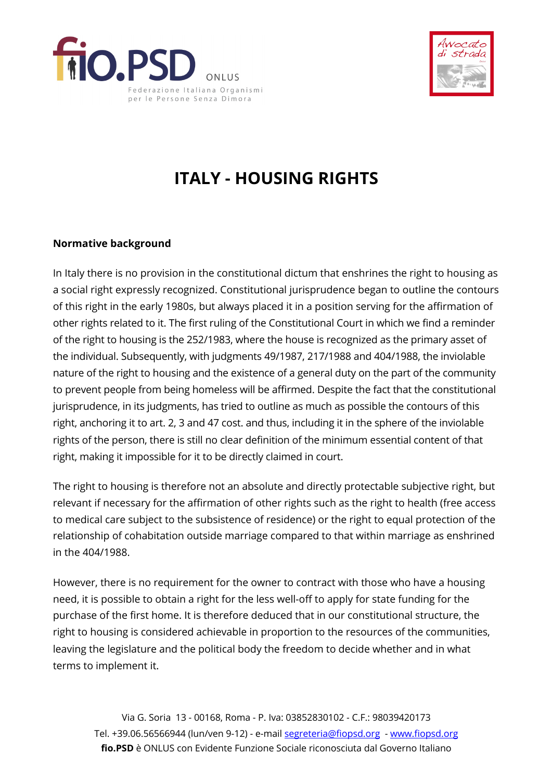



## **ITALY - HOUSING RIGHTS**

## **Normative background**

In Italy there is no provision in the constitutional dictum that enshrines the right to housing as a social right expressly recognized. Constitutional jurisprudence began to outline the contours of this right in the early 1980s, but always placed it in a position serving for the affirmation of other rights related to it. The first ruling of the Constitutional Court in which we find a reminder of the right to housing is the 252/1983, where the house is recognized as the primary asset of the individual. Subsequently, with judgments 49/1987, 217/1988 and 404/1988, the inviolable nature of the right to housing and the existence of a general duty on the part of the community to prevent people from being homeless will be affirmed. Despite the fact that the constitutional jurisprudence, in its judgments, has tried to outline as much as possible the contours of this right, anchoring it to art. 2, 3 and 47 cost. and thus, including it in the sphere of the inviolable rights of the person, there is still no clear definition of the minimum essential content of that right, making it impossible for it to be directly claimed in court.

The right to housing is therefore not an absolute and directly protectable subjective right, but relevant if necessary for the affirmation of other rights such as the right to health (free access to medical care subject to the subsistence of residence) or the right to equal protection of the relationship of cohabitation outside marriage compared to that within marriage as enshrined in the 404/1988.

However, there is no requirement for the owner to contract with those who have a housing need, it is possible to obtain a right for the less well-off to apply for state funding for the purchase of the first home. It is therefore deduced that in our constitutional structure, the right to housing is considered achievable in proportion to the resources of the communities, leaving the legislature and the political body the freedom to decide whether and in what terms to implement it.

Via G. Soria 13 - 00168, Roma - P. Iva: 03852830102 - C.F.: 98039420173 Tel. +39.06.56566944 (lun/ven 9-12) - e-mail segreteria@fiopsd.org - www.fiopsd.org **fio.PSD** è ONLUS con Evidente Funzione Sociale riconosciuta dal Governo Italiano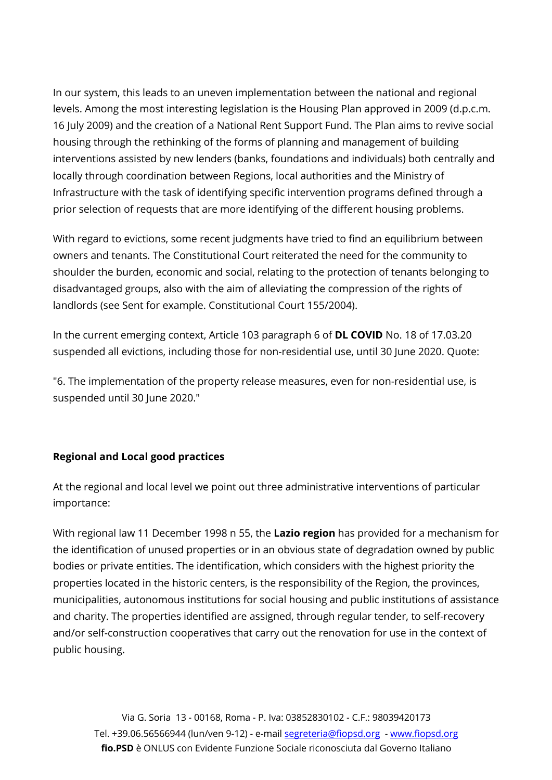In our system, this leads to an uneven implementation between the national and regional levels. Among the most interesting legislation is the Housing Plan approved in 2009 (d.p.c.m. 16 July 2009) and the creation of a National Rent Support Fund. The Plan aims to revive social housing through the rethinking of the forms of planning and management of building interventions assisted by new lenders (banks, foundations and individuals) both centrally and locally through coordination between Regions, local authorities and the Ministry of Infrastructure with the task of identifying specific intervention programs defined through a prior selection of requests that are more identifying of the different housing problems.

With regard to evictions, some recent judgments have tried to find an equilibrium between owners and tenants. The Constitutional Court reiterated the need for the community to shoulder the burden, economic and social, relating to the protection of tenants belonging to disadvantaged groups, also with the aim of alleviating the compression of the rights of landlords (see Sent for example. Constitutional Court 155/2004).

In the current emerging context, Article 103 paragraph 6 of **DL COVID** No. 18 of 17.03.20 suspended all evictions, including those for non-residential use, until 30 June 2020. Quote:

"6. The implementation of the property release measures, even for non-residential use, is suspended until 30 June 2020."

## **Regional and Local good practices**

At the regional and local level we point out three administrative interventions of particular importance:

With regional law 11 December 1998 n 55, the **Lazio region** has provided for a mechanism for the identification of unused properties or in an obvious state of degradation owned by public bodies or private entities. The identification, which considers with the highest priority the properties located in the historic centers, is the responsibility of the Region, the provinces, municipalities, autonomous institutions for social housing and public institutions of assistance and charity. The properties identified are assigned, through regular tender, to self-recovery and/or self-construction cooperatives that carry out the renovation for use in the context of public housing.

Via G. Soria 13 - 00168, Roma - P. Iva: 03852830102 - C.F.: 98039420173 Tel. +39.06.56566944 (lun/ven 9-12) - e-mail segreteria@fiopsd.org - www.fiopsd.org **fio.PSD** è ONLUS con Evidente Funzione Sociale riconosciuta dal Governo Italiano